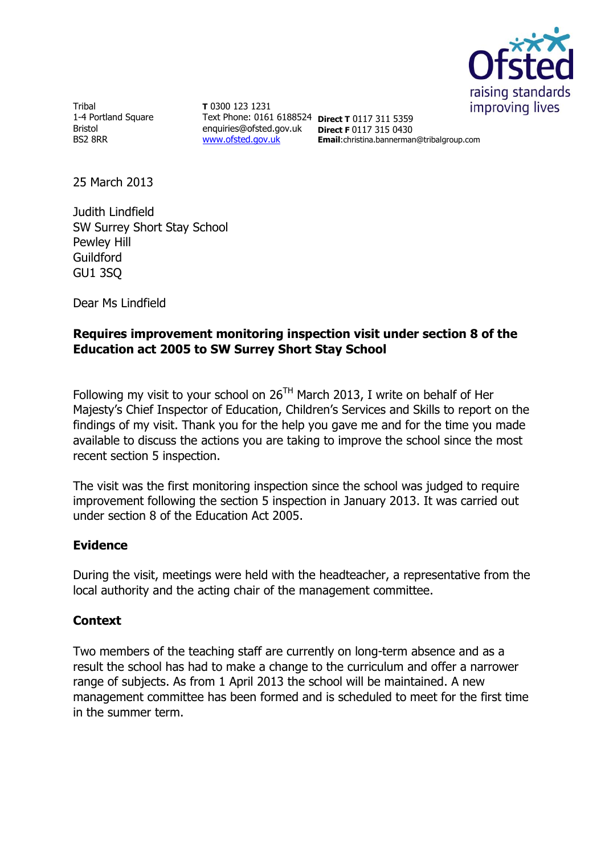

Tribal 1-4 Portland Square Bristol BS2 8RR

**T** 0300 123 1231 Text Phone: 0161 6188524 **Direct T** 0117 311 5359 enquiries@ofsted.gov.uk **Direct F** 0117 315 0430 [www.ofsted.gov.uk](http://www.ofsted.gov.uk/)

**Email**:christina.bannerman@tribalgroup.com

25 March 2013

Judith Lindfield SW Surrey Short Stay School Pewley Hill Guildford GU1 3SQ

Dear Ms Lindfield

## **Requires improvement monitoring inspection visit under section 8 of the Education act 2005 to SW Surrey Short Stay School**

Following my visit to your school on  $26^{TH}$  March 2013, I write on behalf of Her Majesty's Chief Inspector of Education, Children's Services and Skills to report on the findings of my visit. Thank you for the help you gave me and for the time you made available to discuss the actions you are taking to improve the school since the most recent section 5 inspection.

The visit was the first monitoring inspection since the school was judged to require improvement following the section 5 inspection in January 2013. It was carried out under section 8 of the Education Act 2005.

## **Evidence**

During the visit, meetings were held with the headteacher, a representative from the local authority and the acting chair of the management committee.

## **Context**

Two members of the teaching staff are currently on long-term absence and as a result the school has had to make a change to the curriculum and offer a narrower range of subjects. As from 1 April 2013 the school will be maintained. A new management committee has been formed and is scheduled to meet for the first time in the summer term.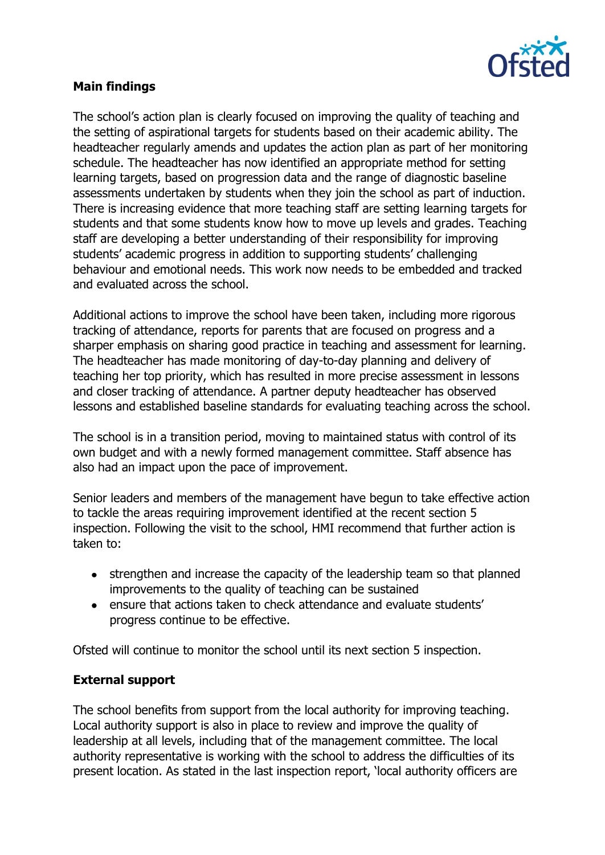

## **Main findings**

The school's action plan is clearly focused on improving the quality of teaching and the setting of aspirational targets for students based on their academic ability. The headteacher regularly amends and updates the action plan as part of her monitoring schedule. The headteacher has now identified an appropriate method for setting learning targets, based on progression data and the range of diagnostic baseline assessments undertaken by students when they join the school as part of induction. There is increasing evidence that more teaching staff are setting learning targets for students and that some students know how to move up levels and grades. Teaching staff are developing a better understanding of their responsibility for improving students' academic progress in addition to supporting students' challenging behaviour and emotional needs. This work now needs to be embedded and tracked and evaluated across the school.

Additional actions to improve the school have been taken, including more rigorous tracking of attendance, reports for parents that are focused on progress and a sharper emphasis on sharing good practice in teaching and assessment for learning. The headteacher has made monitoring of day-to-day planning and delivery of teaching her top priority, which has resulted in more precise assessment in lessons and closer tracking of attendance. A partner deputy headteacher has observed lessons and established baseline standards for evaluating teaching across the school.

The school is in a transition period, moving to maintained status with control of its own budget and with a newly formed management committee. Staff absence has also had an impact upon the pace of improvement.

Senior leaders and members of the management have begun to take effective action to tackle the areas requiring improvement identified at the recent section 5 inspection. Following the visit to the school, HMI recommend that further action is taken to:

- strengthen and increase the capacity of the leadership team so that planned improvements to the quality of teaching can be sustained
- ensure that actions taken to check attendance and evaluate students' progress continue to be effective.

Ofsted will continue to monitor the school until its next section 5 inspection.

## **External support**

The school benefits from support from the local authority for improving teaching. Local authority support is also in place to review and improve the quality of leadership at all levels, including that of the management committee. The local authority representative is working with the school to address the difficulties of its present location. As stated in the last inspection report, 'local authority officers are